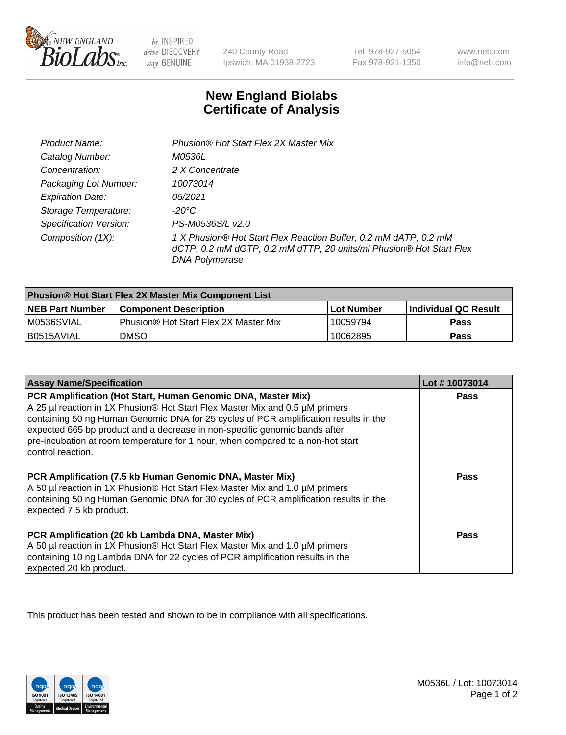

be INSPIRED drive DISCOVERY stay GENUINE

240 County Road Ipswich, MA 01938-2723

Tel 978-927-5054 Fax 978-921-1350

www.neb.com info@neb.com

## **New England Biolabs Certificate of Analysis**

| Product Name:                 | Phusion® Hot Start Flex 2X Master Mix                                                                                                                     |
|-------------------------------|-----------------------------------------------------------------------------------------------------------------------------------------------------------|
| Catalog Number:               | <i>M0536L</i>                                                                                                                                             |
| Concentration:                | 2 X Concentrate                                                                                                                                           |
| Packaging Lot Number:         | 10073014                                                                                                                                                  |
| <b>Expiration Date:</b>       | 05/2021                                                                                                                                                   |
| Storage Temperature:          | -20°C                                                                                                                                                     |
| <b>Specification Version:</b> | PS-M0536S/L v2.0                                                                                                                                          |
| Composition (1X):             | 1 X Phusion® Hot Start Flex Reaction Buffer, 0.2 mM dATP, 0.2 mM<br>dCTP, 0.2 mM dGTP, 0.2 mM dTTP, 20 units/ml Phusion® Hot Start Flex<br>DNA Polymerase |

| <b>Phusion® Hot Start Flex 2X Master Mix Component List</b> |                                       |            |                             |  |
|-------------------------------------------------------------|---------------------------------------|------------|-----------------------------|--|
| <b>NEB Part Number</b>                                      | <b>Component Description</b>          | Lot Number | <b>Individual QC Result</b> |  |
| IM0536SVIAL                                                 | Phusion® Hot Start Flex 2X Master Mix | 10059794   | <b>Pass</b>                 |  |
| I B0515AVIAL                                                | DMSO                                  | 10062895   | Pass                        |  |

| <b>Assay Name/Specification</b>                                                                                                                                                                                                                                                                                                                                                                                            | Lot #10073014 |
|----------------------------------------------------------------------------------------------------------------------------------------------------------------------------------------------------------------------------------------------------------------------------------------------------------------------------------------------------------------------------------------------------------------------------|---------------|
| PCR Amplification (Hot Start, Human Genomic DNA, Master Mix)<br>A 25 µl reaction in 1X Phusion® Hot Start Flex Master Mix and 0.5 µM primers<br>containing 50 ng Human Genomic DNA for 25 cycles of PCR amplification results in the<br>expected 665 bp product and a decrease in non-specific genomic bands after<br>pre-incubation at room temperature for 1 hour, when compared to a non-hot start<br>control reaction. | <b>Pass</b>   |
| PCR Amplification (7.5 kb Human Genomic DNA, Master Mix)<br>A 50 µl reaction in 1X Phusion® Hot Start Flex Master Mix and 1.0 µM primers<br>containing 50 ng Human Genomic DNA for 30 cycles of PCR amplification results in the<br>expected 7.5 kb product.                                                                                                                                                               | Pass          |
| PCR Amplification (20 kb Lambda DNA, Master Mix)<br>A 50 µl reaction in 1X Phusion® Hot Start Flex Master Mix and 1.0 µM primers<br>containing 10 ng Lambda DNA for 22 cycles of PCR amplification results in the<br>expected 20 kb product.                                                                                                                                                                               | Pass          |

This product has been tested and shown to be in compliance with all specifications.